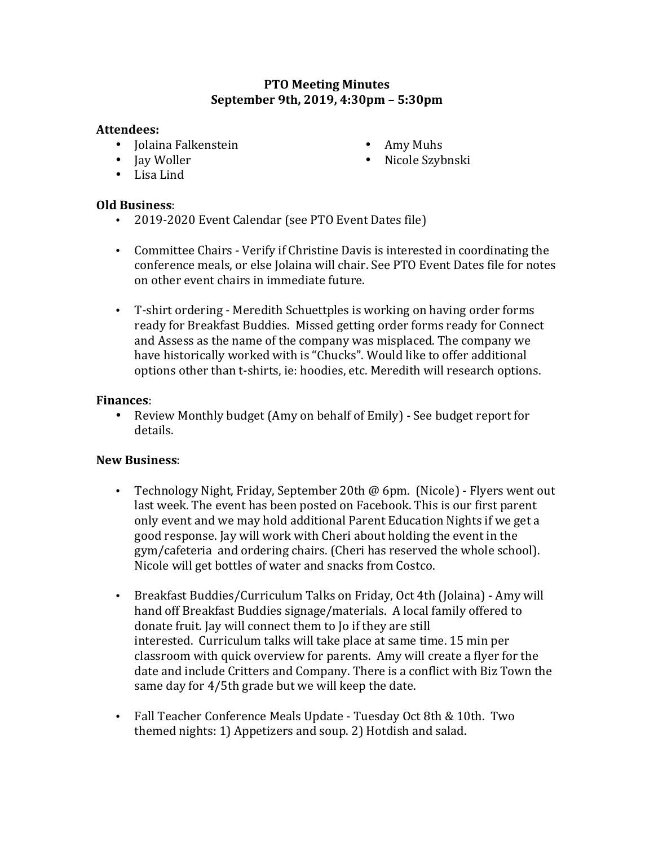## **PTO Meeting Minutes September 9th, 2019, 4:30pm - 5:30pm**

#### Attendees:

- Jolaina Falkenstein
- Iav Woller
- Amy Muhs
- Nicole Szybnski

• Lisa Lind

## **Old Business**:

- 2019-2020 Event Calendar (see PTO Event Dates file)
- Committee Chairs Verify if Christine Davis is interested in coordinating the conference meals, or else Jolaina will chair. See PTO Event Dates file for notes on other event chairs in immediate future.
- T-shirt ordering Meredith Schuettples is working on having order forms ready for Breakfast Buddies. Missed getting order forms ready for Connect and Assess as the name of the company was misplaced. The company we have historically worked with is "Chucks". Would like to offer additional options other than t-shirts, ie: hoodies, etc. Meredith will research options.

## **Finances**:

• Review Monthly budget (Amy on behalf of Emily) - See budget report for details.

# **New Business**:

- Technology Night, Friday, September 20th @ 6pm. (Nicole) Flyers went out last week. The event has been posted on Facebook. This is our first parent only event and we may hold additional Parent Education Nights if we get a good response. Jay will work with Cheri about holding the event in the gym/cafeteria and ordering chairs. (Cheri has reserved the whole school). Nicole will get bottles of water and snacks from Costco.
- Breakfast Buddies/Curriculum Talks on Friday, Oct 4th (Jolaina) Amy will hand off Breakfast Buddies signage/materials. A local family offered to donate fruit. Jay will connect them to Jo if they are still interested. Curriculum talks will take place at same time. 15 min per classroom with quick overview for parents. Amy will create a flyer for the date and include Critters and Company. There is a conflict with Biz Town the same day for 4/5th grade but we will keep the date.
- Fall Teacher Conference Meals Update Tuesday Oct 8th & 10th. Two themed nights: 1) Appetizers and soup. 2) Hotdish and salad.